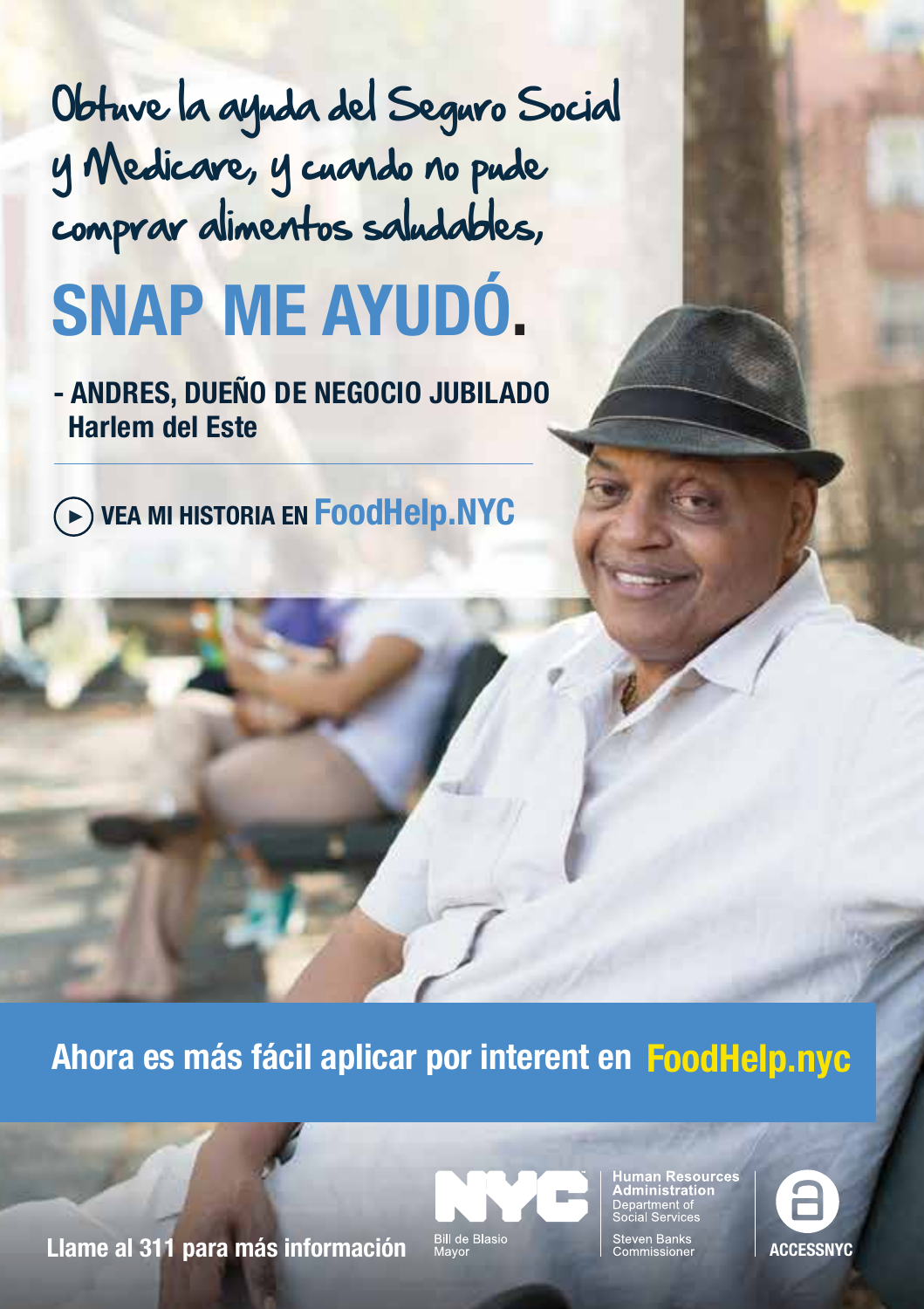## Obtuve la ayuda del Seguro Social y Medicare, y cuando no pude comprar alimentos saludables,

# **SNAP ME AYUDÓ.**

**- ANDRES, DUEÑO DE NEGOCIO JUBILADO Harlem del Este**

**VEA MI HISTORIA EN FoodHelp.NYC**

**Ahora es más fácil aplicar por interent en FoodHelp.nyc**

**Llame al 311 para más información**